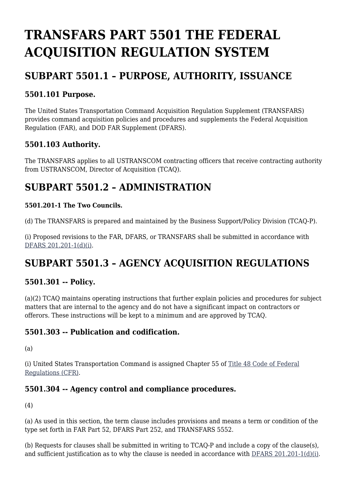# **TRANSFARS PART 5501 THE FEDERAL ACQUISITION REGULATION SYSTEM**

## **SUBPART 5501.1 – PURPOSE, AUTHORITY, ISSUANCE**

#### **5501.101 Purpose.**

The United States Transportation Command Acquisition Regulation Supplement (TRANSFARS) provides command acquisition policies and procedures and supplements the Federal Acquisition Regulation (FAR), and DOD FAR Supplement (DFARS).

#### **5501.103 Authority.**

The TRANSFARS applies to all USTRANSCOM contracting officers that receive contracting authority from USTRANSCOM, Director of Acquisition (TCAQ).

### **SUBPART 5501.2 – ADMINISTRATION**

#### **5501.201-1 The Two Councils.**

(d) The TRANSFARS is prepared and maintained by the Business Support/Policy Division (TCAQ-P).

(i) Proposed revisions to the FAR, DFARS, or TRANSFARS shall be submitted in accordance with [DFARS 201.201-1\(d\)\(i\)](https://www.acquisition.gov/dfars/part-201-federal-acquisition-regulations-system#DFARS-201.201-1).

# **SUBPART 5501.3 – AGENCY ACQUISITION REGULATIONS**

#### **5501.301 -- Policy.**

(a)(2) TCAQ maintains operating instructions that further explain policies and procedures for subject matters that are internal to the agency and do not have a significant impact on contractors or offerors. These instructions will be kept to a minimum and are approved by TCAQ.

#### **5501.303 -- Publication and codification.**

(a)

(i) United States Transportation Command is assigned Chapter 55 of [Title 48 Code of Federal](http://ecfr.gpoaccess.gov/cgi/t/text/text-idx?sid=14d4c9559298fcf443f2b1036f292c24&c=ecfr&tpl=/ecfrbrowse/Title48/48tab_02.tpl) [Regulations \(CFR\).](http://ecfr.gpoaccess.gov/cgi/t/text/text-idx?sid=14d4c9559298fcf443f2b1036f292c24&c=ecfr&tpl=/ecfrbrowse/Title48/48tab_02.tpl)

#### **5501.304 -- Agency control and compliance procedures.**

(4)

(a) As used in this section, the term clause includes provisions and means a term or condition of the type set forth in FAR Part 52, DFARS Part 252, and TRANSFARS 5552.

(b) Requests for clauses shall be submitted in writing to TCAQ-P and include a copy of the clause(s), and sufficient justification as to why the clause is needed in accordance with [DFARS 201.201-1\(d\)\(i\).](https://www.acquisition.gov/dfars/part-201-federal-acquisition-regulations-system#DFARS-201.201-1)